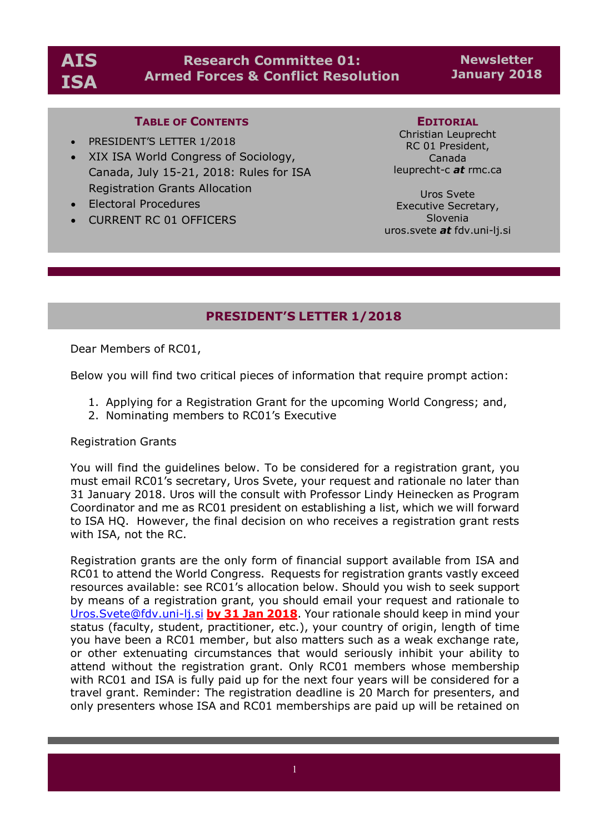# **AIS ISA**

# **Research Committee 01: Armed Forces & Conflict Resolution**

**Newsletter January 2018**

### **TABLE OF CONTENTS**

- PRESIDENT'S LETTER 1/2018
- XIX ISA World Congress of Sociology, Canada, July 15-21, 2018: Rules for ISA Registration Grants Allocation
- Electoral Procedures
- CURRENT RC 01 OFFICERS

#### **EDITORIAL**

Christian Leuprecht RC 01 President, Canada leuprecht-c *at* rmc.ca

Uros Svete Executive Secretary, Slovenia uros.svete *at* fdv.uni-lj.si

## **PRESIDENT'S LETTER 1/2018**

Dear Members of RC01,

Below you will find two critical pieces of information that require prompt action:

- 1. Applying for a Registration Grant for the upcoming World Congress; and,
- 2. Nominating members to RC01's Executive

#### Registration Grants

You will find the guidelines below. To be considered for a registration grant, you must email RC01's secretary, Uros Svete, your request and rationale no later than 31 January 2018. Uros will the consult with Professor Lindy Heinecken as Program Coordinator and me as RC01 president on establishing a list, which we will forward to ISA HQ. However, the final decision on who receives a registration grant rests with ISA, not the RC.

Registration grants are the only form of financial support available from ISA and RC01 to attend the World Congress. Requests for registration grants vastly exceed resources available: see RC01's allocation below. Should you wish to seek support by means of a registration grant, you should email your request and rationale to Uros.Svete@fdv.uni-lj.si **by 31 Jan 2018**. Your rationale should keep in mind your status (faculty, student, practitioner, etc.), your country of origin, length of time you have been a RC01 member, but also matters such as a weak exchange rate, or other extenuating circumstances that would seriously inhibit your ability to attend without the registration grant. Only RC01 members whose membership with RC01 and ISA is fully paid up for the next four years will be considered for a travel grant. Reminder: The registration deadline is 20 March for presenters, and only presenters whose ISA and RC01 memberships are paid up will be retained on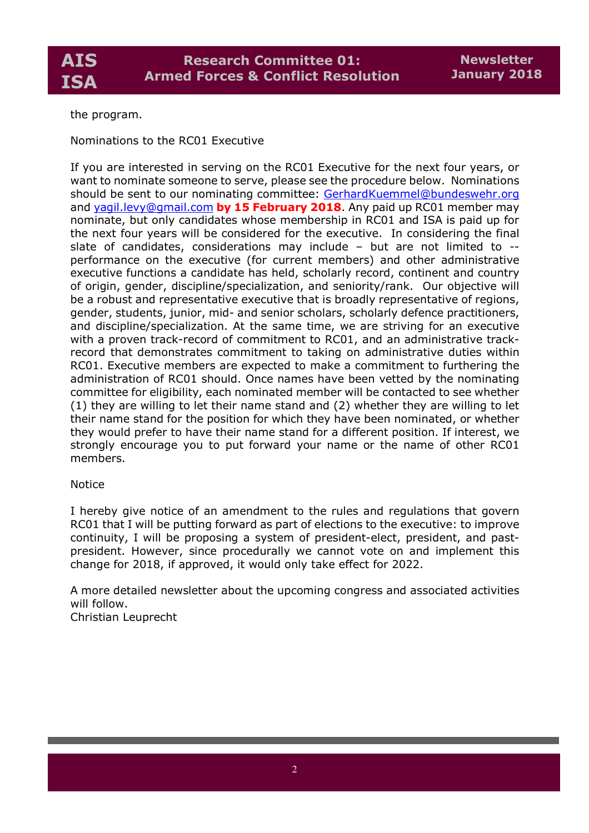the program.

Nominations to the RC01 Executive

If you are interested in serving on the RC01 Executive for the next four years, or want to nominate someone to serve, please see the procedure below. Nominations should be sent to our nominating committee: GerhardKuemmel@bundeswehr.org and yagil.levy@gmail.com **by 15 February 2018**. Any paid up RC01 member may nominate, but only candidates whose membership in RC01 and ISA is paid up for the next four years will be considered for the executive. In considering the final slate of candidates, considerations may include – but are not limited to - performance on the executive (for current members) and other administrative executive functions a candidate has held, scholarly record, continent and country of origin, gender, discipline/specialization, and seniority/rank. Our objective will be a robust and representative executive that is broadly representative of regions, gender, students, junior, mid- and senior scholars, scholarly defence practitioners, and discipline/specialization. At the same time, we are striving for an executive with a proven track-record of commitment to RC01, and an administrative trackrecord that demonstrates commitment to taking on administrative duties within RC01. Executive members are expected to make a commitment to furthering the administration of RC01 should. Once names have been vetted by the nominating committee for eligibility, each nominated member will be contacted to see whether (1) they are willing to let their name stand and (2) whether they are willing to let their name stand for the position for which they have been nominated, or whether they would prefer to have their name stand for a different position. If interest, we strongly encourage you to put forward your name or the name of other RC01 members.

#### Notice

I hereby give notice of an amendment to the rules and regulations that govern RC01 that I will be putting forward as part of elections to the executive: to improve continuity, I will be proposing a system of president-elect, president, and pastpresident. However, since procedurally we cannot vote on and implement this change for 2018, if approved, it would only take effect for 2022.

A more detailed newsletter about the upcoming congress and associated activities will follow. Christian Leuprecht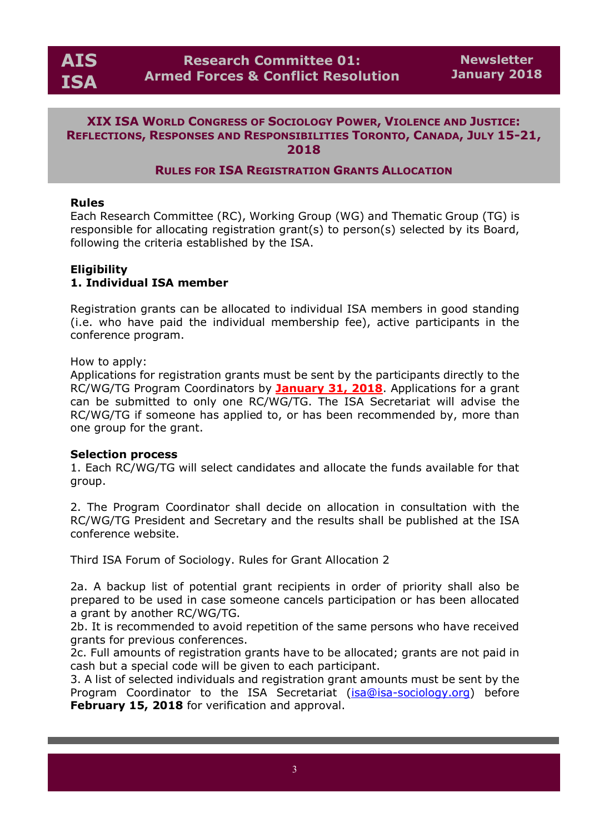## **XIX ISA WORLD CONGRESS OF SOCIOLOGY POWER, VIOLENCE AND JUSTICE: REFLECTIONS, RESPONSES AND RESPONSIBILITIES TORONTO, CANADA, JULY 15-21, 2018**

## **RULES FOR ISA REGISTRATION GRANTS ALLOCATION**

#### **Rules**

Each Research Committee (RC), Working Group (WG) and Thematic Group (TG) is responsible for allocating registration grant(s) to person(s) selected by its Board, following the criteria established by the ISA.

## **Eligibility 1. Individual ISA member**

Registration grants can be allocated to individual ISA members in good standing (i.e. who have paid the individual membership fee), active participants in the conference program.

#### How to apply:

Applications for registration grants must be sent by the participants directly to the RC/WG/TG Program Coordinators by **January 31, 2018**. Applications for a grant can be submitted to only one RC/WG/TG. The ISA Secretariat will advise the RC/WG/TG if someone has applied to, or has been recommended by, more than one group for the grant.

#### **Selection process**

1. Each RC/WG/TG will select candidates and allocate the funds available for that group.

2. The Program Coordinator shall decide on allocation in consultation with the RC/WG/TG President and Secretary and the results shall be published at the ISA conference website.

Third ISA Forum of Sociology. Rules for Grant Allocation 2

2a. A backup list of potential grant recipients in order of priority shall also be prepared to be used in case someone cancels participation or has been allocated a grant by another RC/WG/TG.

2b. It is recommended to avoid repetition of the same persons who have received grants for previous conferences.

2c. Full amounts of registration grants have to be allocated; grants are not paid in cash but a special code will be given to each participant.

3. A list of selected individuals and registration grant amounts must be sent by the Program Coordinator to the ISA Secretariat (*isa@isa-sociology.org*) before **February 15, 2018** for verification and approval.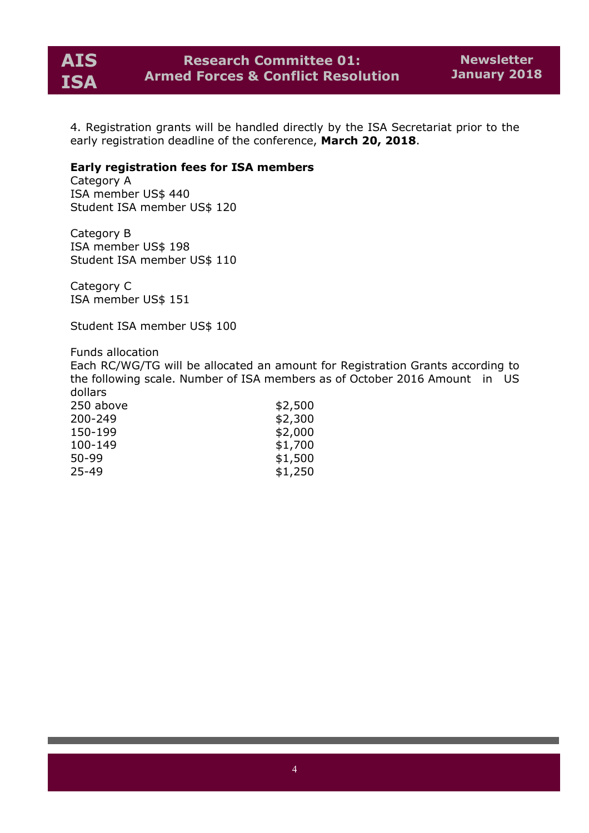

4. Registration grants will be handled directly by the ISA Secretariat prior to the early registration deadline of the conference, **March 20, 2018**.

## **Early registration fees for ISA members**

Category A ISA member US\$ 440 Student ISA member US\$ 120

Category B ISA member US\$ 198 Student ISA member US\$ 110

Category C ISA member US\$ 151

Student ISA member US\$ 100

#### Funds allocation

Each RC/WG/TG will be allocated an amount for Registration Grants according to the following scale. Number of ISA members as of October 2016 Amount in US dollars

| \$2,500 |
|---------|
| \$2,300 |
| \$2,000 |
| \$1,700 |
| \$1,500 |
| \$1,250 |
|         |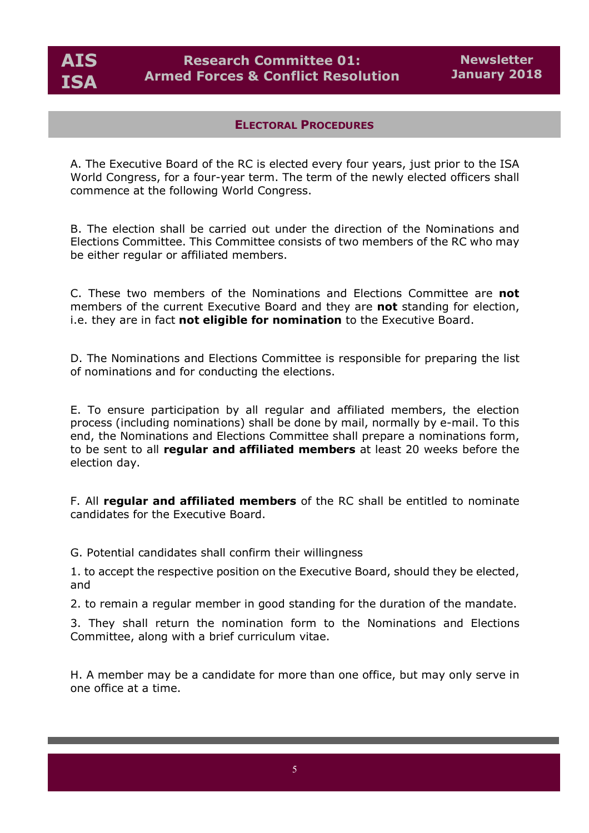

# **Research Committee 01: Armed Forces & Conflict Resolution**

**Newsletter January 2018**

#### **ELECTORAL PROCEDURES**

A. The Executive Board of the RC is elected every four years, just prior to the ISA World Congress, for a four-year term. The term of the newly elected officers shall commence at the following World Congress.

B. The election shall be carried out under the direction of the Nominations and Elections Committee. This Committee consists of two members of the RC who may be either regular or affiliated members.

C. These two members of the Nominations and Elections Committee are **not** members of the current Executive Board and they are **not** standing for election, i.e. they are in fact **not eligible for nomination** to the Executive Board.

D. The Nominations and Elections Committee is responsible for preparing the list of nominations and for conducting the elections.

E. To ensure participation by all regular and affiliated members, the election process (including nominations) shall be done by mail, normally by e-mail. To this end, the Nominations and Elections Committee shall prepare a nominations form, to be sent to all **regular and affiliated members** at least 20 weeks before the election day.

F. All **regular and affiliated members** of the RC shall be entitled to nominate candidates for the Executive Board.

G. Potential candidates shall confirm their willingness

1. to accept the respective position on the Executive Board, should they be elected, and

2. to remain a regular member in good standing for the duration of the mandate.

3. They shall return the nomination form to the Nominations and Elections Committee, along with a brief curriculum vitae.

H. A member may be a candidate for more than one office, but may only serve in one office at a time.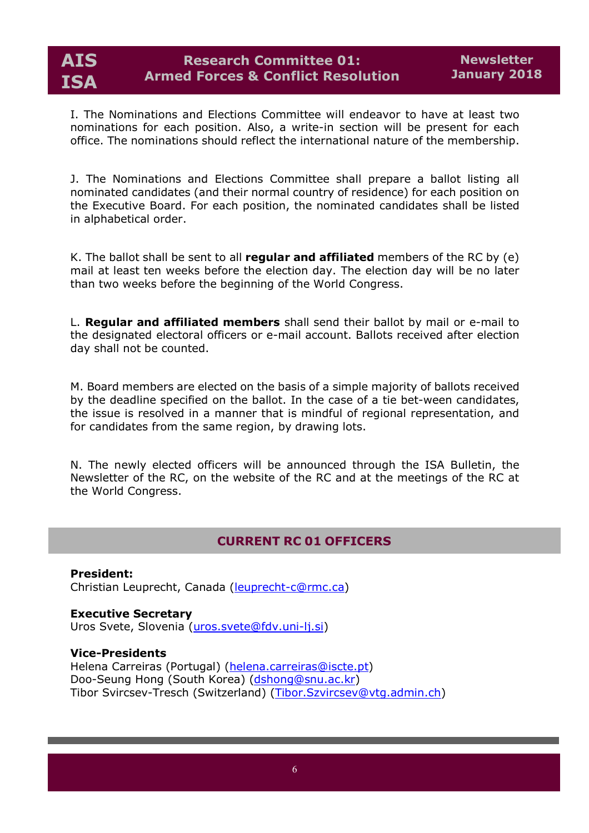I. The Nominations and Elections Committee will endeavor to have at least two nominations for each position. Also, a write-in section will be present for each office. The nominations should reflect the international nature of the membership.

J. The Nominations and Elections Committee shall prepare a ballot listing all nominated candidates (and their normal country of residence) for each position on the Executive Board. For each position, the nominated candidates shall be listed in alphabetical order.

K. The ballot shall be sent to all **regular and affiliated** members of the RC by (e) mail at least ten weeks before the election day. The election day will be no later than two weeks before the beginning of the World Congress.

L. **Regular and affiliated members** shall send their ballot by mail or e-mail to the designated electoral officers or e-mail account. Ballots received after election day shall not be counted.

M. Board members are elected on the basis of a simple majority of ballots received by the deadline specified on the ballot. In the case of a tie bet-ween candidates, the issue is resolved in a manner that is mindful of regional representation, and for candidates from the same region, by drawing lots.

N. The newly elected officers will be announced through the ISA Bulletin, the Newsletter of the RC, on the website of the RC and at the meetings of the RC at the World Congress.

## **CURRENT RC 01 OFFICERS**

#### **President:**

Christian Leuprecht, Canada (leuprecht-c@rmc.ca)

# **Executive Secretary**

Uros Svete, Slovenia (uros.svete@fdv.uni-lj.si)

#### **Vice-Presidents**

Helena Carreiras (Portugal) (helena.carreiras@iscte.pt) Doo-Seung Hong (South Korea) (dshong@snu.ac.kr) Tibor Svircsev-Tresch (Switzerland) (Tibor.Szvircsev@vtg.admin.ch)